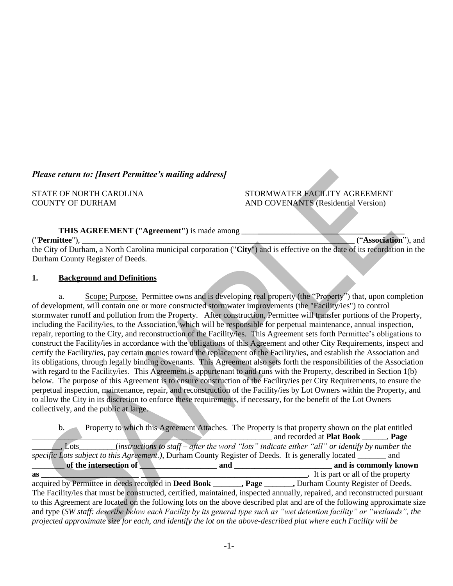## *Please return to: [Insert Permittee's mailing address]*

STATE OF NORTH CAROLINA STORMWATER FACILITY AGREEMENT COUNTY OF DURHAM AND COVENANTS (Residential Version)

**THIS AGREEMENT ("Agreement")** is made among \_\_\_\_**\_\_\_\_\_\_\_\_\_\_\_\_\_\_\_\_\_\_\_\_\_\_\_\_\_\_\_\_\_\_\_\_\_\_\_\_**

#### ("**Permittee**"), \_\_\_\_\_\_\_\_\_\_\_\_\_\_\_\_\_\_\_\_\_\_\_\_\_\_\_\_\_\_\_\_\_\_\_\_\_\_\_\_\_\_\_\_\_\_\_\_\_\_\_\_\_\_\_\_\_\_\_\_\_\_\_\_\_\_\_ ("**Association**"), and

the City of Durham, a North Carolina municipal corporation ("**City**") and is effective on the date of its recordation in the Durham County Register of Deeds.

#### **1. Background and Definitions**

a. Scope; Purpose. Permittee owns and is developing real property (the "Property") that, upon completion of development, will contain one or more constructed stormwater improvements (the "Facility/ies") to control stormwater runoff and pollution from the Property. After construction, Permittee will transfer portions of the Property, including the Facility/ies, to the Association, which will be responsible for perpetual maintenance, annual inspection, repair, reporting to the City, and reconstruction of the Facility/ies. This Agreement sets forth Permittee's obligations to construct the Facility/ies in accordance with the obligations of this Agreement and other City Requirements, inspect and certify the Facility/ies, pay certain monies toward the replacement of the Facility/ies, and establish the Association and its obligations, through legally binding covenants. This Agreement also sets forth the responsibilities of the Association with regard to the Facility/ies. This Agreement is appurtenant to and runs with the Property, described in Section 1(b) below. The purpose of this Agreement is to ensure construction of the Facility/ies per City Requirements, to ensure the perpetual inspection, maintenance, repair, and reconstruction of the Facility/ies by Lot Owners within the Property, and to allow the City in its discretion to enforce these requirements, if necessary, for the benefit of the Lot Owners collectively, and the public at large.

b. Property to which this Agreement Attaches. The Property is that property shown on the plat entitled \_\_\_\_\_\_\_\_\_\_\_\_\_\_\_\_\_\_\_\_\_\_\_\_\_\_\_\_\_\_\_\_\_\_\_\_\_\_\_\_\_\_\_\_\_\_\_\_\_\_\_\_\_\_\_\_\_\_\_ and recorded at **Plat Book \_\_\_\_\_\_**, **Page \_\_\_\_\_\_\_**, Lots\_\_\_\_\_\_\_\_\_(*instructions to staff – after the word "lots" indicate either "all" or identify by number the specific Lots subject to this Agreement.)*, Durham County Register of Deeds. It is generally located \_\_\_\_\_\_\_ and \_\_\_\_\_\_\_\_ **of the intersection of \_\_\_\_\_\_\_\_\_\_\_\_\_\_\_\_\_\_\_ and \_\_\_\_\_\_\_\_\_\_\_\_\_\_\_\_\_\_\_\_\_\_\_\_ and is commonly known** 

**as \_\_\_\_\_\_\_\_\_\_\_\_\_\_\_\_\_\_\_\_\_\_\_\_ \_\_\_\_\_\_\_\_\_\_\_\_\_\_\_\_\_\_\_\_\_\_\_\_\_\_\_\_\_\_\_\_\_\_\_\_\_\_\_\_\_.** It is part or all of the property acquired by Permittee in deeds recorded in **Deed Book \_\_\_\_\_\_\_, Page \_\_\_\_\_\_\_,** Durham County Register of Deeds. The Facility/ies that must be constructed, certified, maintained, inspected annually, repaired, and reconstructed pursuant to this Agreement are located on the following lots on the above described plat and are of the following approximate size and type (*SW staff: describe below each Facility by its general type such as "wet detention facility" or "wetlands", the projected approximate size for each, and identify the lot on the above-described plat where each Facility will be*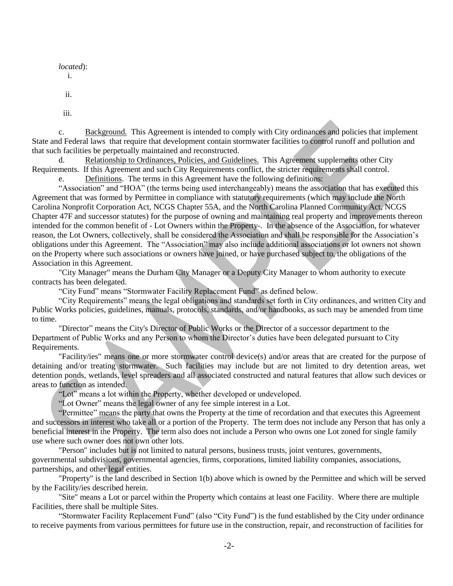*located*): i. ii.

iii.

c. Background. This Agreement is intended to comply with City ordinances and policies that implement State and Federal laws that require that development contain stormwater facilities to control runoff and pollution and that such facilities be perpetually maintained and reconstructed.

d. Relationship to Ordinances, Policies, and Guidelines. This Agreement supplements other City Requirements. If this Agreement and such City Requirements conflict, the stricter requirements shall control.

Definitions. The terms in this Agreement have the following definitions:

"Association" and "HOA" (the terms being used interchangeably) means the association that has executed this Agreement that was formed by Permittee in compliance with statutory requirements (which may include the North Carolina Nonprofit Corporation Act, NCGS Chapter 55A, and the North Carolina Planned Community Act, NCGS Chapter 47F and successor statutes) for the purpose of owning and maintaining real property and improvements thereon intended for the common benefit of - Lot Owners within the Property-. In the absence of the Association, for whatever reason, the Lot Owners, collectively, shall be considered the Association and shall be responsible for the Association's obligations under this Agreement. The "Association" may also include additional associations or lot owners not shown on the Property where such associations or owners have joined, or have purchased subject to, the obligations of the Association in this Agreement.

"City Manager" means the Durham City Manager or a Deputy City Manager to whom authority to execute contracts has been delegated.

"City Fund" means "Stormwater Facility Replacement Fund" as defined below.

"City Requirements" means the legal obligations and standards set forth in City ordinances, and written City and Public Works policies, guidelines, manuals, protocols, standards, and/or handbooks, as such may be amended from time to time.

"Director" means the City's Director of Public Works or the Director of a successor department to the Department of Public Works and any Person to whom the Director's duties have been delegated pursuant to City Requirements.

"Facility/ies" means one or more stormwater control device(s) and/or areas that are created for the purpose of detaining and/or treating stormwater. Such facilities may include but are not limited to dry detention areas, wet detention ponds, wetlands, level spreaders and all associated constructed and natural features that allow such devices or areas to function as intended.

"Lot" means a lot within the Property, whether developed or undeveloped.

"Lot Owner" means the legal owner of any fee simple interest in a Lot.

"Permittee" means the party that owns the Property at the time of recordation and that executes this Agreement and successors in interest who take all or a portion of the Property. The term does not include any Person that has only a beneficial interest in the Property. The term also does not include a Person who owns one Lot zoned for single family use where such owner does not own other lots.

"Person" includes but is not limited to natural persons, business trusts, joint ventures, governments, governmental subdivisions, governmental agencies, firms, corporations, limited liability companies, associations, partnerships, and other legal entities.

"Property" is the land described in Section 1(b) above which is owned by the Permittee and which will be served by the Facility/ies described herein.

"Site" means a Lot or parcel within the Property which contains at least one Facility. Where there are multiple Facilities, there shall be multiple Sites.

"Stormwater Facility Replacement Fund" (also "City Fund") is the fund established by the City under ordinance to receive payments from various permittees for future use in the construction, repair, and reconstruction of facilities for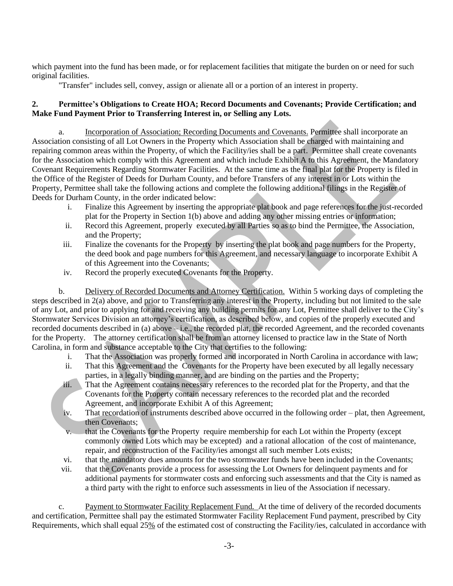which payment into the fund has been made, or for replacement facilities that mitigate the burden on or need for such original facilities.

"Transfer" includes sell, convey, assign or alienate all or a portion of an interest in property.

## **2. Permittee's Obligations to Create HOA; Record Documents and Covenants; Provide Certification; and Make Fund Payment Prior to Transferring Interest in, or Selling any Lots.**

a. Incorporation of Association; Recording Documents and Covenants. Permittee shall incorporate an Association consisting of all Lot Owners in the Property which Association shall be charged with maintaining and repairing common areas within the Property, of which the Facility/ies shall be a part. Permittee shall create covenants for the Association which comply with this Agreement and which include Exhibit A to this Agreement, the Mandatory Covenant Requirements Regarding Stormwater Facilities. At the same time as the final plat for the Property is filed in the Office of the Register of Deeds for Durham County, and before Transfers of any interest in or Lots within the Property, Permittee shall take the following actions and complete the following additional filings in the Register of Deeds for Durham County, in the order indicated below:

- i. Finalize this Agreement by inserting the appropriate plat book and page references for the just-recorded plat for the Property in Section 1(b) above and adding any other missing entries or information;
- ii. Record this Agreement, properly executed by all Parties so as to bind the Permittee, the Association, and the Property;
- iii. Finalize the covenants for the Property by inserting the plat book and page numbers for the Property, the deed book and page numbers for this Agreement, and necessary language to incorporate Exhibit A of this Agreement into the Covenants;
- iv. Record the properly executed Covenants for the Property.

b. Delivery of Recorded Documents and Attorney Certification. Within 5 working days of completing the steps described in 2(a) above, and prior to Transferring any interest in the Property, including but not limited to the sale of any Lot, and prior to applying for and receiving any building permits for any Lot, Permittee shall deliver to the City's Stormwater Services Division an attorney's certification, as described below, and copies of the properly executed and recorded documents described in (a) above – i.e., the recorded plat, the recorded Agreement, and the recorded covenants for the Property. The attorney certification shall be from an attorney licensed to practice law in the State of North Carolina, in form and substance acceptable to the City that certifies to the following:

- i. That the Association was properly formed and incorporated in North Carolina in accordance with law;
- ii. That this Agreement and the Covenants for the Property have been executed by all legally necessary parties, in a legally binding manner, and are binding on the parties and the Property;
- iii. That the Agreement contains necessary references to the recorded plat for the Property, and that the Covenants for the Property contain necessary references to the recorded plat and the recorded Agreement, and incorporate Exhibit A of this Agreement;
- iv. That recordation of instruments described above occurred in the following order plat, then Agreement, then Covenants;
- v. that the Covenants for the Property require membership for each Lot within the Property (except commonly owned Lots which may be excepted) and a rational allocation of the cost of maintenance, repair, and reconstruction of the Facility/ies amongst all such member Lots exists;
- vi. that the mandatory dues amounts for the two stormwater funds have been included in the Covenants;
- vii. that the Covenants provide a process for assessing the Lot Owners for delinquent payments and for additional payments for stormwater costs and enforcing such assessments and that the City is named as a third party with the right to enforce such assessments in lieu of the Association if necessary.

c. Payment to Stormwater Facility Replacement Fund. At the time of delivery of the recorded documents and certification, Permittee shall pay the estimated Stormwater Facility Replacement Fund payment, prescribed by City Requirements, which shall equal 25% of the estimated cost of constructing the Facility/ies, calculated in accordance with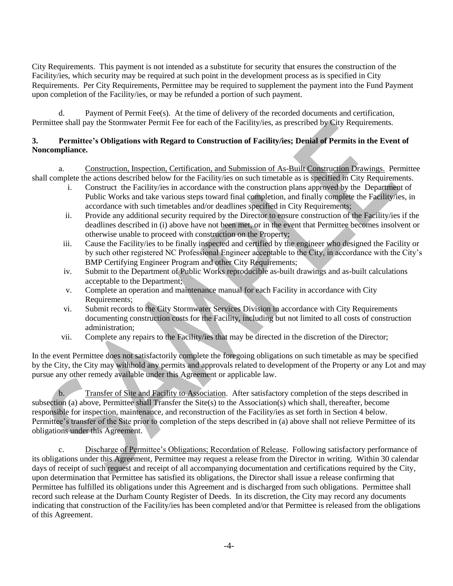City Requirements. This payment is not intended as a substitute for security that ensures the construction of the Facility/ies, which security may be required at such point in the development process as is specified in City Requirements. Per City Requirements, Permittee may be required to supplement the payment into the Fund Payment upon completion of the Facility/ies, or may be refunded a portion of such payment.

d. Payment of Permit Fee(s). At the time of delivery of the recorded documents and certification, Permittee shall pay the Stormwater Permit Fee for each of the Facility/ies, as prescribed by City Requirements.

## **3. Permittee's Obligations with Regard to Construction of Facility/ies; Denial of Permits in the Event of Noncompliance.**

a. Construction, Inspection, Certification, and Submission of As-Built Construction Drawings. Permittee shall complete the actions described below for the Facility/ies on such timetable as is specified in City Requirements.

- i. Construct the Facility/ies in accordance with the construction plans approved by the Department of Public Works and take various steps toward final completion, and finally complete the Facility/ies, in accordance with such timetables and/or deadlines specified in City Requirements;
- ii. Provide any additional security required by the Director to ensure construction of the Facility/ies if the deadlines described in (i) above have not been met, or in the event that Permittee becomes insolvent or otherwise unable to proceed with construction on the Property;
- iii. Cause the Facility/ies to be finally inspected and certified by the engineer who designed the Facility or by such other registered NC Professional Engineer acceptable to the City, in accordance with the City's BMP Certifying Engineer Program and other City Requirements;
- iv. Submit to the Department of Public Works reproducible as-built drawings and as-built calculations acceptable to the Department;
- v. Complete an operation and maintenance manual for each Facility in accordance with City Requirements;
- vi. Submit records to the City Stormwater Services Division in accordance with City Requirements documenting construction costs for the Facility, including but not limited to all costs of construction administration;
- vii. Complete any repairs to the Facility/ies that may be directed in the discretion of the Director;

In the event Permittee does not satisfactorily complete the foregoing obligations on such timetable as may be specified by the City, the City may withhold any permits and approvals related to development of the Property or any Lot and may pursue any other remedy available under this Agreement or applicable law.

b. Transfer of Site and Facility to Association. After satisfactory completion of the steps described in subsection (a) above, Permittee shall Transfer the Site(s) to the Association(s) which shall, thereafter, become responsible for inspection, maintenance, and reconstruction of the Facility/ies as set forth in Section 4 below. Permittee's transfer of the Site prior to completion of the steps described in (a) above shall not relieve Permittee of its obligations under this Agreement.

c. Discharge of Permittee's Obligations; Recordation of Release. Following satisfactory performance of its obligations under this Agreement, Permittee may request a release from the Director in writing. Within 30 calendar days of receipt of such request and receipt of all accompanying documentation and certifications required by the City, upon determination that Permittee has satisfied its obligations, the Director shall issue a release confirming that Permittee has fulfilled its obligations under this Agreement and is discharged from such obligations. Permittee shall record such release at the Durham County Register of Deeds. In its discretion, the City may record any documents indicating that construction of the Facility/ies has been completed and/or that Permittee is released from the obligations of this Agreement.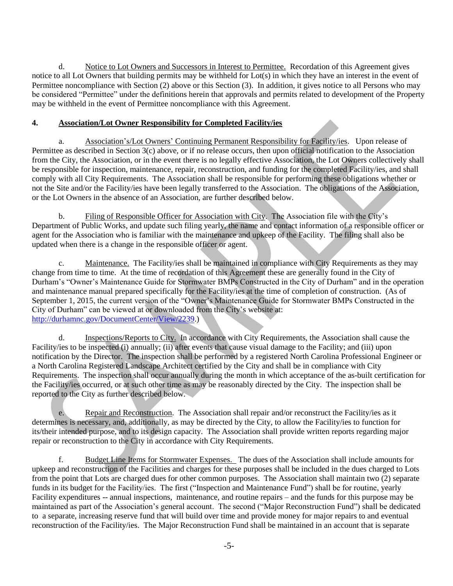d. Notice to Lot Owners and Successors in Interest to Permittee. Recordation of this Agreement gives notice to all Lot Owners that building permits may be withheld for Lot(s) in which they have an interest in the event of Permittee noncompliance with Section (2) above or this Section (3). In addition, it gives notice to all Persons who may be considered "Permittee" under the definitions herein that approvals and permits related to development of the Property may be withheld in the event of Permittee noncompliance with this Agreement.

## **4. Association/Lot Owner Responsibility for Completed Facility/ies**

a. Association's/Lot Owners' Continuing Permanent Responsibility for Facility/ies. Upon release of Permittee as described in Section 3(c) above, or if no release occurs, then upon official notification to the Association from the City, the Association, or in the event there is no legally effective Association, the Lot Owners collectively shall be responsible for inspection, maintenance, repair, reconstruction, and funding for the completed Facility/ies, and shall comply with all City Requirements. The Association shall be responsible for performing these obligations whether or not the Site and/or the Facility/ies have been legally transferred to the Association. The obligations of the Association, or the Lot Owners in the absence of an Association, are further described below.

b. Filing of Responsible Officer for Association with City. The Association file with the City's Department of Public Works, and update such filing yearly, the name and contact information of a responsible officer or agent for the Association who is familiar with the maintenance and upkeep of the Facility. The filing shall also be updated when there is a change in the responsible officer or agent.

Maintenance. The Facility/ies shall be maintained in compliance with City Requirements as they may change from time to time. At the time of recordation of this Agreement these are generally found in the City of Durham's "Owner's Maintenance Guide for Stormwater BMPs Constructed in the City of Durham" and in the operation and maintenance manual prepared specifically for the Facility/ies at the time of completion of construction. (As of September 1, 2015, the current version of the "Owner's Maintenance Guide for Stormwater BMPs Constructed in the City of Durham" can be viewed at or downloaded from the City's website at: [http://durhamnc.gov/DocumentCenter/View/2239.](http://durhamnc.gov/DocumentCenter/View/2239))

d. Inspections/Reports to City. In accordance with City Requirements, the Association shall cause the Facility/ies to be inspected (i) annually; (ii) after events that cause visual damage to the Facility; and (iii) upon notification by the Director. The inspection shall be performed by a registered North Carolina Professional Engineer or a North Carolina Registered Landscape Architect certified by the City and shall be in compliance with City Requirements. The inspection shall occur annually during the month in which acceptance of the as-built certification for the Facility/ies occurred, or at such other time as may be reasonably directed by the City. The inspection shall be reported to the City as further described below.

e. Repair and Reconstruction. The Association shall repair and/or reconstruct the Facility/ies as it determines is necessary, and, additionally, as may be directed by the City, to allow the Facility/ies to function for its/their intended purpose, and to its design capacity. The Association shall provide written reports regarding major repair or reconstruction to the City in accordance with City Requirements.

f. Budget Line Items for Stormwater Expenses. The dues of the Association shall include amounts for upkeep and reconstruction of the Facilities and charges for these purposes shall be included in the dues charged to Lots from the point that Lots are charged dues for other common purposes. The Association shall maintain two (2) separate funds in its budget for the Facility/ies. The first ("Inspection and Maintenance Fund") shall be for routine, yearly Facility expenditures -- annual inspections, maintenance, and routine repairs – and the funds for this purpose may be maintained as part of the Association's general account. The second ("Major Reconstruction Fund") shall be dedicated to a separate, increasing reserve fund that will build over time and provide money for major repairs to and eventual reconstruction of the Facility/ies. The Major Reconstruction Fund shall be maintained in an account that is separate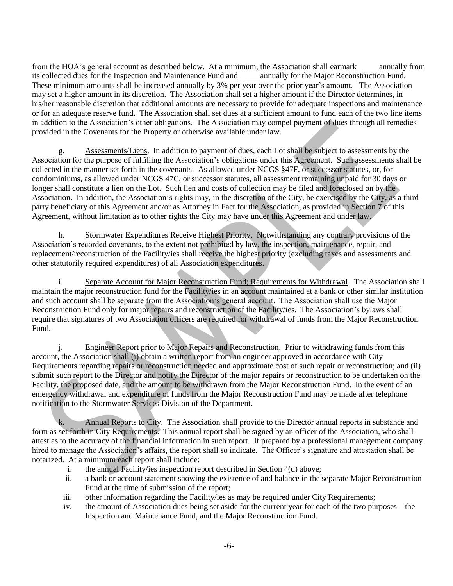from the HOA's general account as described below. At a minimum, the Association shall earmark \_\_\_\_\_annually from its collected dues for the Inspection and Maintenance Fund and \_\_\_\_\_annually for the Major Reconstruction Fund. These minimum amounts shall be increased annually by 3% per year over the prior year's amount. The Association may set a higher amount in its discretion. The Association shall set a higher amount if the Director determines, in his/her reasonable discretion that additional amounts are necessary to provide for adequate inspections and maintenance or for an adequate reserve fund. The Association shall set dues at a sufficient amount to fund each of the two line items in addition to the Association's other obligations. The Association may compel payment of dues through all remedies provided in the Covenants for the Property or otherwise available under law.

g. Assessments/Liens. In addition to payment of dues, each Lot shall be subject to assessments by the Association for the purpose of fulfilling the Association's obligations under this Agreement. Such assessments shall be collected in the manner set forth in the covenants. As allowed under NCGS §47F, or successor statutes, or, for condominiums, as allowed under NCGS 47C, or successor statutes, all assessment remaining unpaid for 30 days or longer shall constitute a lien on the Lot. Such lien and costs of collection may be filed and foreclosed on by the Association. In addition, the Association's rights may, in the discretion of the City, be exercised by the City, as a third party beneficiary of this Agreement and/or as Attorney in Fact for the Association, as provided in Section 7 of this Agreement, without limitation as to other rights the City may have under this Agreement and under law.

h. Stormwater Expenditures Receive Highest Priority. Notwithstanding any contrary provisions of the Association's recorded covenants, to the extent not prohibited by law, the inspection, maintenance, repair, and replacement/reconstruction of the Facility/ies shall receive the highest priority (excluding taxes and assessments and other statutorily required expenditures) of all Association expenditures.

i. Separate Account for Major Reconstruction Fund; Requirements for Withdrawal. The Association shall maintain the major reconstruction fund for the Facility/ies in an account maintained at a bank or other similar institution and such account shall be separate from the Association's general account. The Association shall use the Major Reconstruction Fund only for major repairs and reconstruction of the Facility/ies. The Association's bylaws shall require that signatures of two Association officers are required for withdrawal of funds from the Major Reconstruction Fund.

j. Engineer Report prior to Major Repairs and Reconstruction. Prior to withdrawing funds from this account, the Association shall (i) obtain a written report from an engineer approved in accordance with City Requirements regarding repairs or reconstruction needed and approximate cost of such repair or reconstruction; and (ii) submit such report to the Director and notify the Director of the major repairs or reconstruction to be undertaken on the Facility, the proposed date, and the amount to be withdrawn from the Major Reconstruction Fund. In the event of an emergency withdrawal and expenditure of funds from the Major Reconstruction Fund may be made after telephone notification to the Stormwater Services Division of the Department.

k. Annual Reports to City. The Association shall provide to the Director annual reports in substance and form as set forth in City Requirements. This annual report shall be signed by an officer of the Association, who shall attest as to the accuracy of the financial information in such report. If prepared by a professional management company hired to manage the Association's affairs, the report shall so indicate. The Officer's signature and attestation shall be notarized. At a minimum each report shall include:

- i. the annual Facility/ies inspection report described in Section 4(d) above;
- ii. a bank or account statement showing the existence of and balance in the separate Major Reconstruction Fund at the time of submission of the report;
- iii. other information regarding the Facility/ies as may be required under City Requirements;
- iv. the amount of Association dues being set aside for the current year for each of the two purposes the Inspection and Maintenance Fund, and the Major Reconstruction Fund.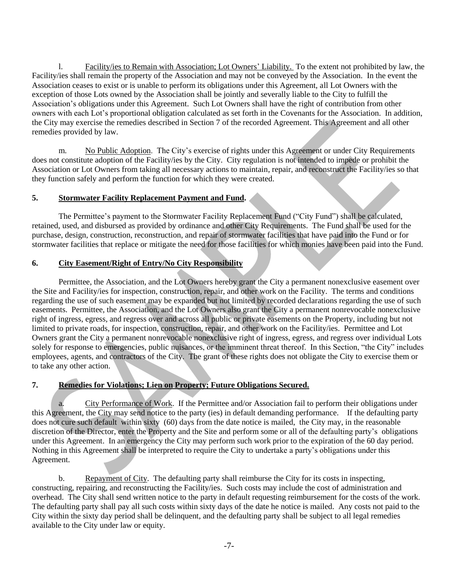l. Facility/ies to Remain with Association; Lot Owners' Liability. To the extent not prohibited by law, the Facility/ies shall remain the property of the Association and may not be conveyed by the Association. In the event the Association ceases to exist or is unable to perform its obligations under this Agreement, all Lot Owners with the exception of those Lots owned by the Association shall be jointly and severally liable to the City to fulfill the Association's obligations under this Agreement. Such Lot Owners shall have the right of contribution from other owners with each Lot's proportional obligation calculated as set forth in the Covenants for the Association. In addition, the City may exercise the remedies described in Section 7 of the recorded Agreement. This Agreement and all other remedies provided by law.

m. No Public Adoption. The City's exercise of rights under this Agreement or under City Requirements does not constitute adoption of the Facility/ies by the City. City regulation is not intended to impede or prohibit the Association or Lot Owners from taking all necessary actions to maintain, repair, and reconstruct the Facility/ies so that they function safely and perform the function for which they were created.

### **5. Stormwater Facility Replacement Payment and Fund.**

The Permittee's payment to the Stormwater Facility Replacement Fund ("City Fund") shall be calculated, retained, used, and disbursed as provided by ordinance and other City Requirements. The Fund shall be used for the purchase, design, construction, reconstruction, and repair of stormwater facilities that have paid into the Fund or for stormwater facilities that replace or mitigate the need for those facilities for which monies have been paid into the Fund.

### **6. City Easement/Right of Entry/No City Responsibility**

Permittee, the Association, and the Lot Owners hereby grant the City a permanent nonexclusive easement over the Site and Facility/ies for inspection, construction, repair, and other work on the Facility. The terms and conditions regarding the use of such easement may be expanded but not limited by recorded declarations regarding the use of such easements. Permittee, the Association, and the Lot Owners also grant the City a permanent nonrevocable nonexclusive right of ingress, egress, and regress over and across all public or private easements on the Property, including but not limited to private roads, for inspection, construction, repair, and other work on the Facility/ies. Permittee and Lot Owners grant the City a permanent nonrevocable nonexclusive right of ingress, egress, and regress over individual Lots solely for response to emergencies, public nuisances, or the imminent threat thereof. In this Section, "the City" includes employees, agents, and contractors of the City. The grant of these rights does not obligate the City to exercise them or to take any other action.

## **7. Remedies for Violations; Lien on Property; Future Obligations Secured.**

City Performance of Work. If the Permittee and/or Association fail to perform their obligations under this Agreement, the City may send notice to the party (ies) in default demanding performance. If the defaulting party does not cure such default within sixty (60) days from the date notice is mailed, the City may, in the reasonable discretion of the Director, enter the Property and the Site and perform some or all of the defaulting party's obligations under this Agreement. In an emergency the City may perform such work prior to the expiration of the 60 day period. Nothing in this Agreement shall be interpreted to require the City to undertake a party's obligations under this Agreement.

b. Repayment of City. The defaulting party shall reimburse the City for its costs in inspecting, constructing, repairing, and reconstructing the Facility/ies. Such costs may include the cost of administration and overhead. The City shall send written notice to the party in default requesting reimbursement for the costs of the work. The defaulting party shall pay all such costs within sixty days of the date he notice is mailed. Any costs not paid to the City within the sixty day period shall be delinquent, and the defaulting party shall be subject to all legal remedies available to the City under law or equity.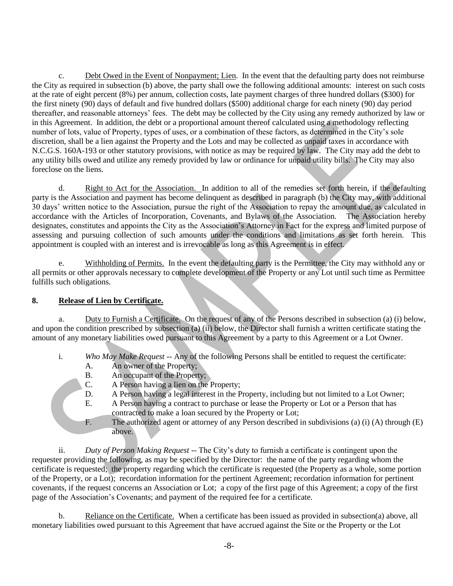c. Debt Owed in the Event of Nonpayment; Lien. In the event that the defaulting party does not reimburse the City as required in subsection (b) above, the party shall owe the following additional amounts: interest on such costs at the rate of eight percent (8%) per annum, collection costs, late payment charges of three hundred dollars (\$300) for the first ninety (90) days of default and five hundred dollars (\$500) additional charge for each ninety (90) day period thereafter, and reasonable attorneys' fees. The debt may be collected by the City using any remedy authorized by law or in this Agreement. In addition, the debt or a proportional amount thereof calculated using a methodology reflecting number of lots, value of Property, types of uses, or a combination of these factors, as determined in the City's sole discretion, shall be a lien against the Property and the Lots and may be collected as unpaid taxes in accordance with N.C.G.S. 160A-193 or other statutory provisions, with notice as may be required by law. The City may add the debt to any utility bills owed and utilize any remedy provided by law or ordinance for unpaid utility bills. The City may also foreclose on the liens.

d. Right to Act for the Association. In addition to all of the remedies set forth herein, if the defaulting party is the Association and payment has become delinquent as described in paragraph (b) the City may, with additional 30 days' written notice to the Association, pursue the right of the Association to repay the amount due, as calculated in accordance with the Articles of Incorporation, Covenants, and Bylaws of the Association. The Association hereby designates, constitutes and appoints the City as the Association's Attorney in Fact for the express and limited purpose of assessing and pursuing collection of such amounts under the conditions and limitations as set forth herein. This appointment is coupled with an interest and is irrevocable as long as this Agreement is in effect.

e. Withholding of Permits. In the event the defaulting party is the Permittee, the City may withhold any or all permits or other approvals necessary to complete development of the Property or any Lot until such time as Permittee fulfills such obligations.

# **8. Release of Lien by Certificate.**

a. Duty to Furnish a Certificate. On the request of any of the Persons described in subsection (a) (i) below, and upon the condition prescribed by subsection (a) (ii) below, the Director shall furnish a written certificate stating the amount of any monetary liabilities owed pursuant to this Agreement by a party to this Agreement or a Lot Owner.

- i. *Who May Make Request* -- Any of the following Persons shall be entitled to request the certificate:
	- A. An owner of the Property;
	- B. An occupant of the Property;
	- C. A Person having a lien on the Property;
	- D. A Person having a legal interest in the Property, including but not limited to a Lot Owner;
	- E. A Person having a contract to purchase or lease the Property or Lot or a Person that has contracted to make a loan secured by the Property or Lot;
	- F. The authorized agent or attorney of any Person described in subdivisions (a) (i) (A) through (E) above.

ii. *Duty of Person Making Request* -- The City's duty to furnish a certificate is contingent upon the requester providing the following, as may be specified by the Director: the name of the party regarding whom the certificate is requested; the property regarding which the certificate is requested (the Property as a whole, some portion of the Property, or a Lot); recordation information for the pertinent Agreement; recordation information for pertinent covenants, if the request concerns an Association or Lot; a copy of the first page of this Agreement; a copy of the first page of the Association's Covenants; and payment of the required fee for a certificate.

b. Reliance on the Certificate. When a certificate has been issued as provided in subsection(a) above, all monetary liabilities owed pursuant to this Agreement that have accrued against the Site or the Property or the Lot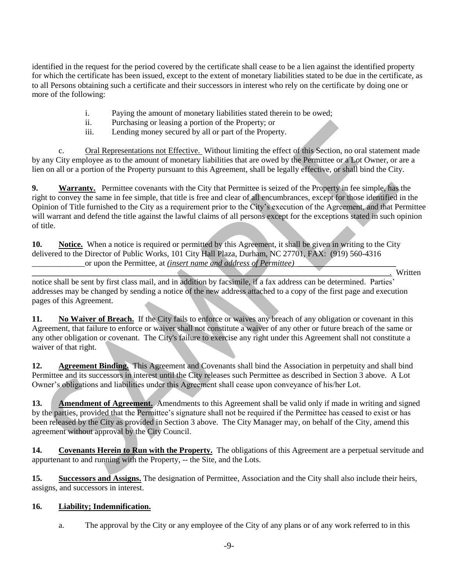identified in the request for the period covered by the certificate shall cease to be a lien against the identified property for which the certificate has been issued, except to the extent of monetary liabilities stated to be due in the certificate, as to all Persons obtaining such a certificate and their successors in interest who rely on the certificate by doing one or more of the following:

- i. Paying the amount of monetary liabilities stated therein to be owed;
- ii. Purchasing or leasing a portion of the Property; or
- iii. Lending money secured by all or part of the Property.

c. Oral Representations not Effective. Without limiting the effect of this Section, no oral statement made by any City employee as to the amount of monetary liabilities that are owed by the Permittee or a Lot Owner, or are a lien on all or a portion of the Property pursuant to this Agreement, shall be legally effective, or shall bind the City.

**9. Warranty.** Permittee covenants with the City that Permittee is seized of the Property in fee simple, has the right to convey the same in fee simple, that title is free and clear of all encumbrances, except for those identified in the Opinion of Title furnished to the City as a requirement prior to the City's execution of the Agreement, and that Permittee will warrant and defend the title against the lawful claims of all persons except for the exceptions stated in such opinion of title.

**10. Notice.** When a notice is required or permitted by this Agreement, it shall be given in writing to the City delivered to the Director of Public Works, 101 City Hall Plaza, Durham, NC 27701, FAX: (919) 560-4316 or upon the Permittee, at *(insert name and address of Permittee)* 

*\_\_\_\_\_\_\_\_\_\_\_\_\_\_\_\_\_\_\_\_\_\_\_\_\_\_\_\_\_\_\_\_\_\_\_\_\_\_\_\_\_\_\_\_\_\_\_\_\_\_\_\_\_\_\_\_\_\_\_\_\_\_\_\_\_\_\_\_\_\_\_\_\_\_\_\_\_\_\_\_\_\_\_\_\_\_\_\_.* Written

notice shall be sent by first class mail, and in addition by facsimile, if a fax address can be determined. Parties' addresses may be changed by sending a notice of the new address attached to a copy of the first page and execution pages of this Agreement.

**11. No Waiver of Breach.** If the City fails to enforce or waives any breach of any obligation or covenant in this Agreement, that failure to enforce or waiver shall not constitute a waiver of any other or future breach of the same or any other obligation or covenant. The City's failure to exercise any right under this Agreement shall not constitute a waiver of that right.

**12. Agreement Binding.** This Agreement and Covenants shall bind the Association in perpetuity and shall bind Permittee and its successors in interest until the City releases such Permittee as described in Section 3 above. A Lot Owner's obligations and liabilities under this Agreement shall cease upon conveyance of his/her Lot.

**13. Amendment of Agreement.** Amendments to this Agreement shall be valid only if made in writing and signed by the parties, provided that the Permittee's signature shall not be required if the Permittee has ceased to exist or has been released by the City as provided in Section 3 above. The City Manager may, on behalf of the City, amend this agreement without approval by the City Council.

**14. Covenants Herein to Run with the Property.** The obligations of this Agreement are a perpetual servitude and appurtenant to and running with the Property, -- the Site, and the Lots.

**15. Successors and Assigns.** The designation of Permittee, Association and the City shall also include their heirs, assigns, and successors in interest.

# **16. Liability; Indemnification.**

a. The approval by the City or any employee of the City of any plans or of any work referred to in this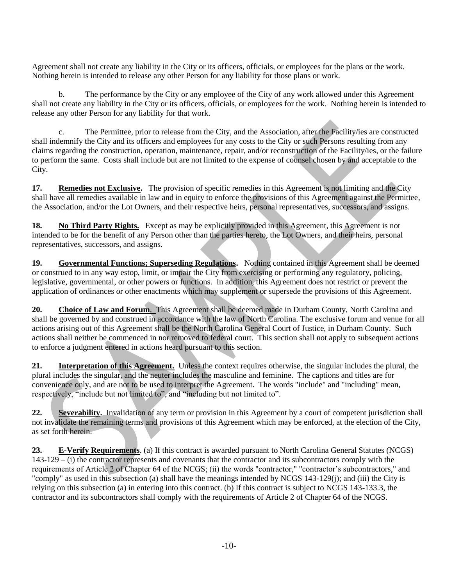Agreement shall not create any liability in the City or its officers, officials, or employees for the plans or the work. Nothing herein is intended to release any other Person for any liability for those plans or work.

b. The performance by the City or any employee of the City of any work allowed under this Agreement shall not create any liability in the City or its officers, officials, or employees for the work. Nothing herein is intended to release any other Person for any liability for that work.

c. The Permittee, prior to release from the City, and the Association, after the Facility/ies are constructed shall indemnify the City and its officers and employees for any costs to the City or such Persons resulting from any claims regarding the construction, operation, maintenance, repair, and/or reconstruction of the Facility/ies, or the failure to perform the same. Costs shall include but are not limited to the expense of counsel chosen by and acceptable to the City.

**17. Remedies not Exclusive.** The provision of specific remedies in this Agreement is not limiting and the City shall have all remedies available in law and in equity to enforce the provisions of this Agreement against the Permittee, the Association, and/or the Lot Owners, and their respective heirs, personal representatives, successors, and assigns.

**18. No Third Party Rights.** Except as may be explicitly provided in this Agreement, this Agreement is not intended to be for the benefit of any Person other than the parties hereto, the Lot Owners, and their heirs, personal representatives, successors, and assigns.

**19. Governmental Functions; Superseding Regulations.** Nothing contained in this Agreement shall be deemed or construed to in any way estop, limit, or impair the City from exercising or performing any regulatory, policing, legislative, governmental, or other powers or functions. In addition, this Agreement does not restrict or prevent the application of ordinances or other enactments which may supplement or supersede the provisions of this Agreement.

**20. Choice of Law and Forum**. This Agreement shall be deemed made in Durham County, North Carolina and shall be governed by and construed in accordance with the law of North Carolina. The exclusive forum and venue for all actions arising out of this Agreement shall be the North Carolina General Court of Justice, in Durham County. Such actions shall neither be commenced in nor removed to federal court. This section shall not apply to subsequent actions to enforce a judgment entered in actions heard pursuant to this section.

**21. Interpretation of this Agreement.** Unless the context requires otherwise, the singular includes the plural, the plural includes the singular, and the neuter includes the masculine and feminine. The captions and titles are for convenience only, and are not to be used to interpret the Agreement. The words "include" and "including" mean, respectively, "include but not limited to", and "including but not limited to".

**22. Severability.** Invalidation of any term or provision in this Agreement by a court of competent jurisdiction shall not invalidate the remaining terms and provisions of this Agreement which may be enforced, at the election of the City, as set forth herein.

**23. E-Verify Requirements**. (a) If this contract is awarded pursuant to North Carolina General Statutes (NCGS) 143-129 – (i) the contractor represents and covenants that the contractor and its subcontractors comply with the requirements of Article 2 of Chapter 64 of the NCGS; (ii) the words "contractor," "contractor's subcontractors," and "comply" as used in this subsection (a) shall have the meanings intended by NCGS 143-129(j); and (iii) the City is relying on this subsection (a) in entering into this contract. (b) If this contract is subject to NCGS 143-133.3, the contractor and its subcontractors shall comply with the requirements of Article 2 of Chapter 64 of the NCGS.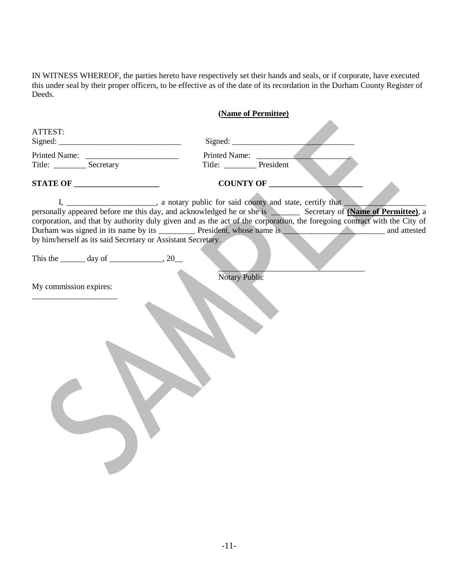IN WITNESS WHEREOF, the parties hereto have respectively set their hands and seals, or if corporate, have executed this under seal by their proper officers, to be effective as of the date of its recordation in the Durham County Register of Deeds.

|                                              | (Name of Permittee)                                                                                                                                                                                                                                                                                                                                                                                                                                                            |              |
|----------------------------------------------|--------------------------------------------------------------------------------------------------------------------------------------------------------------------------------------------------------------------------------------------------------------------------------------------------------------------------------------------------------------------------------------------------------------------------------------------------------------------------------|--------------|
| ATTEST:                                      |                                                                                                                                                                                                                                                                                                                                                                                                                                                                                |              |
|                                              |                                                                                                                                                                                                                                                                                                                                                                                                                                                                                |              |
| Title: _________________ Secretary           | Title: __________ President                                                                                                                                                                                                                                                                                                                                                                                                                                                    |              |
| STATE OF                                     | COUNTY OF                                                                                                                                                                                                                                                                                                                                                                                                                                                                      |              |
|                                              | I, ________________________, a notary public for said county and state, certify that<br>personally appeared before me this day, and acknowledged he or she is Secretary of (Name of Permittee), a<br>corporation, and that by authority duly given and as the act of the corporation, the foregoing contract with the City of<br>Durham was signed in its name by its _____________ President, whose name is _<br>by him/herself as its said Secretary or Assistant Secretary. | and attested |
| This the $\_\_\_\$ day of $\_\_\_\_\_\$ , 20 |                                                                                                                                                                                                                                                                                                                                                                                                                                                                                |              |
| My commission expires:                       | <b>Notary Public</b>                                                                                                                                                                                                                                                                                                                                                                                                                                                           |              |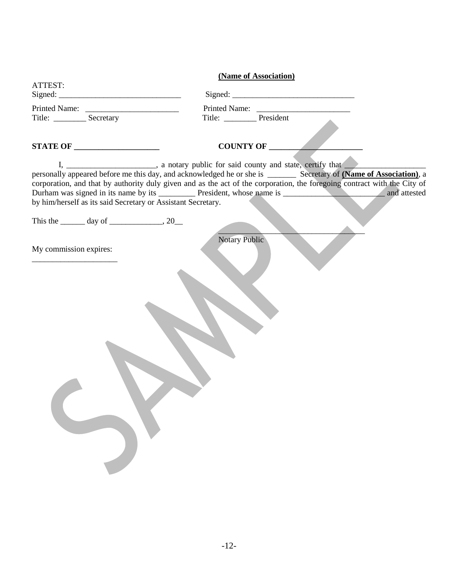|                                                              | (Name of Association)                                                                                                    |
|--------------------------------------------------------------|--------------------------------------------------------------------------------------------------------------------------|
| ATTEST:                                                      |                                                                                                                          |
|                                                              |                                                                                                                          |
|                                                              |                                                                                                                          |
|                                                              | Title: President                                                                                                         |
| STATE OF                                                     | COUNTY OF                                                                                                                |
| by him/herself as its said Secretary or Assistant Secretary. | corporation, and that by authority duly given and as the act of the corporation, the foregoing contract with the City of |
| This the $\_\_\_\$ day of $\_\_\_\_\_\$ , 20 $\_\_\_\$       |                                                                                                                          |
|                                                              | <b>Notary Public</b>                                                                                                     |
| My commission expires:                                       |                                                                                                                          |
|                                                              |                                                                                                                          |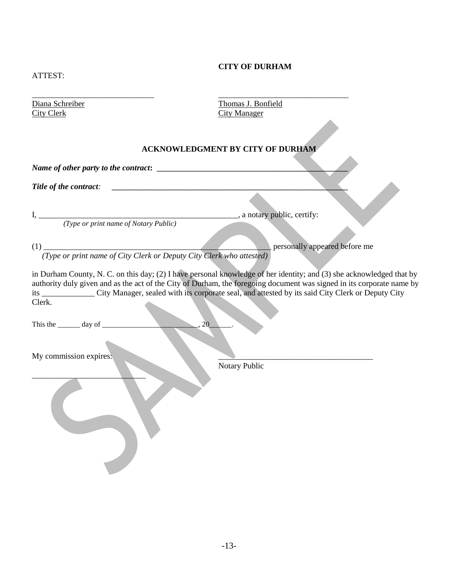## **CITY OF DURHAM**

| v<br>۰, |  |
|---------|--|

\_\_\_\_\_\_\_\_\_\_\_\_\_\_\_\_\_\_\_\_\_\_\_\_\_\_\_\_\_\_ \_\_\_\_\_\_\_\_\_\_\_\_\_\_\_\_\_\_\_\_\_\_\_\_\_\_\_\_\_\_\_\_ City Clerk City Manager

Diana Schreiber Thomas J. Bonfield

## **ACKNOWLEDGMENT BY CITY OF DURHAM**

*Name of other party to the contract*:

*Title of the contract:* **with an allocated**  $\overline{a}$  *z*  $\overline{b}$  *z*  $\overline{c}$  *z*  $\overline{c}$  *z*  $\overline{c}$  *z*  $\overline{c}$  *z*  $\overline{c}$  *z*  $\overline{c}$  *z*  $\overline{c}$  *z*  $\overline{c}$  *z*  $\overline{c}$  *z*  $\overline{c}$  *z* 

 *(Type or print name of Notary Public)* 

I, \_\_\_\_\_\_\_\_\_\_\_\_\_\_\_\_\_\_\_\_\_\_\_\_\_\_\_\_\_\_\_\_\_\_\_\_\_\_\_\_\_\_\_\_\_\_\_\_\_, a notary public, certify:

(1) \_\_\_\_\_\_\_\_\_\_\_\_\_\_\_\_\_\_\_\_\_\_\_\_\_\_\_\_\_\_\_\_\_\_\_\_\_\_\_\_\_\_\_\_\_\_\_\_\_\_\_\_\_\_\_\_ personally appeared before me  *(Type or print name of City Clerk or Deputy City Clerk who attested)* 

in Durham County, N. C. on this day; (2) I have personal knowledge of her identity; and (3) she acknowledged that by authority duly given and as the act of the City of Durham, the foregoing document was signed in its corporate name by its \_\_\_\_\_\_\_\_\_\_\_\_\_ City Manager, sealed with its corporate seal, and attested by its said City Clerk or Deputy City Clerk.

This the \_\_\_\_\_\_ day of \_\_\_\_\_\_\_\_\_\_\_\_\_\_\_\_\_\_\_\_\_\_\_\_\_\_, 20\_\_\_\_\_\_.

My commission expires:

 $\overline{\phantom{a}}$  , where  $\overline{\phantom{a}}$ 

Notary Public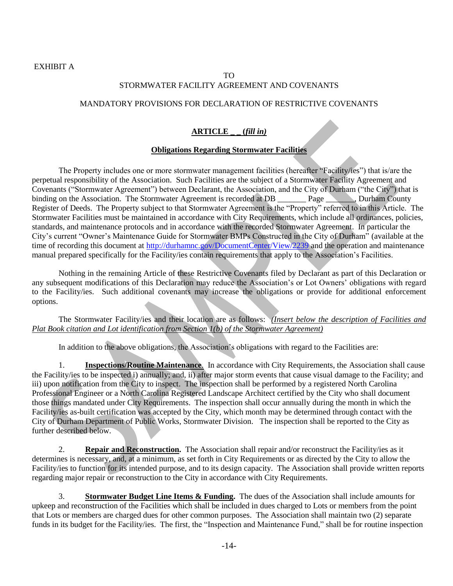## TO STORMWATER FACILITY AGREEMENT AND COVENANTS

## MANDATORY PROVISIONS FOR DECLARATION OF RESTRICTIVE COVENANTS

## **ARTICLE \_ \_ (***fill in)*

### **Obligations Regarding Stormwater Facilities**

The Property includes one or more stormwater management facilities (hereafter "Facility/ies") that is/are the perpetual responsibility of the Association. Such Facilities are the subject of a Stormwater Facility Agreement and Covenants ("Stormwater Agreement") between Declarant, the Association, and the City of Durham ("the City") that is binding on the Association. The Stormwater Agreement is recorded at DB Page Durham County binding on the Association. The Stormwater Agreement is recorded at DB  $\qquad$  Page Register of Deeds. The Property subject to that Stormwater Agreement is the "Property" referred to in this Article. The Stormwater Facilities must be maintained in accordance with City Requirements, which include all ordinances, policies, standards, and maintenance protocols and in accordance with the recorded Stormwater Agreement. In particular the City's current "Owner's Maintenance Guide for Stormwater BMPs Constructed in the City of Durham" (available at the time of recording this document at<http://durhamnc.gov/DocumentCenter/View/2239> and the operation and maintenance manual prepared specifically for the Facility/ies contain requirements that apply to the Association's Facilities.

Nothing in the remaining Article of these Restrictive Covenants filed by Declarant as part of this Declaration or any subsequent modifications of this Declaration may reduce the Association's or Lot Owners' obligations with regard to the Facility/ies. Such additional covenants may increase the obligations or provide for additional enforcement options.

The Stormwater Facility/ies and their location are as follows: *(Insert below the description of Facilities and Plat Book citation and Lot identification from Section 1(b) of the Stormwater Agreement)*

In addition to the above obligations, the Association's obligations with regard to the Facilities are:

1. **Inspections/Routine Maintenance**. In accordance with City Requirements, the Association shall cause the Facility/ies to be inspected i) annually; and, ii) after major storm events that cause visual damage to the Facility; and iii) upon notification from the City to inspect. The inspection shall be performed by a registered North Carolina Professional Engineer or a North Carolina Registered Landscape Architect certified by the City who shall document those things mandated under City Requirements. The inspection shall occur annually during the month in which the Facility/ies as-built certification was accepted by the City, which month may be determined through contact with the City of Durham Department of Public Works, Stormwater Division. The inspection shall be reported to the City as further described below.

2. **Repair and Reconstruction.** The Association shall repair and/or reconstruct the Facility/ies as it determines is necessary, and, at a minimum, as set forth in City Requirements or as directed by the City to allow the Facility/ies to function for its intended purpose, and to its design capacity. The Association shall provide written reports regarding major repair or reconstruction to the City in accordance with City Requirements.

**Stormwater Budget Line Items & Funding.** The dues of the Association shall include amounts for upkeep and reconstruction of the Facilities which shall be included in dues charged to Lots or members from the point that Lots or members are charged dues for other common purposes. The Association shall maintain two (2) separate funds in its budget for the Facility/ies. The first, the "Inspection and Maintenance Fund," shall be for routine inspection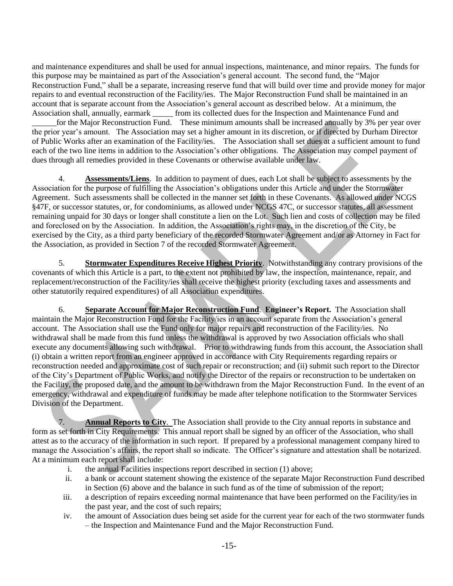and maintenance expenditures and shall be used for annual inspections, maintenance, and minor repairs. The funds for this purpose may be maintained as part of the Association's general account. The second fund, the "Major Reconstruction Fund," shall be a separate, increasing reserve fund that will build over time and provide money for major repairs to and eventual reconstruction of the Facility/ies. The Major Reconstruction Fund shall be maintained in an account that is separate account from the Association's general account as described below. At a minimum, the Association shall, annually, earmark \_\_\_\_\_ from its collected dues for the Inspection and Maintenance Fund and for the Major Reconstruction Fund. These minimum amounts shall be increased annually by 3% per year over the prior year's amount. The Association may set a higher amount in its discretion, or if directed by Durham Director of Public Works after an examination of the Facility/ies. The Association shall set dues at a sufficient amount to fund each of the two line items in addition to the Association's other obligations. The Association may compel payment of dues through all remedies provided in these Covenants or otherwise available under law.

4. **Assessments/Liens**. In addition to payment of dues, each Lot shall be subject to assessments by the Association for the purpose of fulfilling the Association's obligations under this Article and under the Stormwater Agreement. Such assessments shall be collected in the manner set forth in these Covenants. As allowed under NCGS §47F, or successor statutes, or, for condominiums, as allowed under NCGS 47C, or successor statutes, all assessment remaining unpaid for 30 days or longer shall constitute a lien on the Lot. Such lien and costs of collection may be filed and foreclosed on by the Association. In addition, the Association's rights may, in the discretion of the City, be exercised by the City, as a third party beneficiary of the recorded Stormwater Agreement and/or as Attorney in Fact for the Association, as provided in Section 7 of the recorded Stormwater Agreement.

5. **Stormwater Expenditures Receive Highest Priority**. Notwithstanding any contrary provisions of the covenants of which this Article is a part, to the extent not prohibited by law, the inspection, maintenance, repair, and replacement/reconstruction of the Facility/ies shall receive the highest priority (excluding taxes and assessments and other statutorily required expenditures) of all Association expenditures.

6. **Separate Account for Major Reconstruction Fund**. **Engineer's Report.** The Association shall maintain the Major Reconstruction Fund for the Facility/ies in an account separate from the Association's general account. The Association shall use the Fund only for major repairs and reconstruction of the Facility/ies. No withdrawal shall be made from this fund unless the withdrawal is approved by two Association officials who shall execute any documents allowing such withdrawal. Prior to withdrawing funds from this account, the Association shall (i) obtain a written report from an engineer approved in accordance with City Requirements regarding repairs or reconstruction needed and approximate cost of such repair or reconstruction; and (ii) submit such report to the Director of the City's Department of Public Works, and notify the Director of the repairs or reconstruction to be undertaken on the Facility, the proposed date, and the amount to be withdrawn from the Major Reconstruction Fund. In the event of an emergency, withdrawal and expenditure of funds may be made after telephone notification to the Stormwater Services Division of the Department.

7. **Annual Reports to City**. The Association shall provide to the City annual reports in substance and form as set forth in City Requirements. This annual report shall be signed by an officer of the Association, who shall attest as to the accuracy of the information in such report. If prepared by a professional management company hired to manage the Association's affairs, the report shall so indicate. The Officer's signature and attestation shall be notarized. At a minimum each report shall include:

- i. the annual Facilities inspections report described in section (1) above;
- ii. a bank or account statement showing the existence of the separate Major Reconstruction Fund described in Section (6) above and the balance in such fund as of the time of submission of the report;
- iii. a description of repairs exceeding normal maintenance that have been performed on the Facility/ies in the past year, and the cost of such repairs;
- iv. the amount of Association dues being set aside for the current year for each of the two stormwater funds – the Inspection and Maintenance Fund and the Major Reconstruction Fund.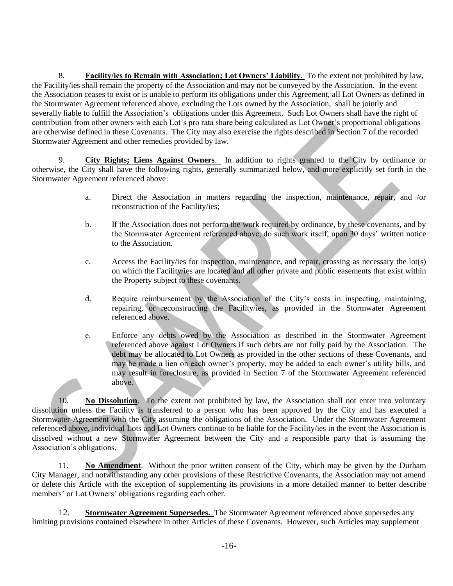8. **Facility/ies to Remain with Association; Lot Owners' Liability**. To the extent not prohibited by law, the Facility/ies shall remain the property of the Association and may not be conveyed by the Association. In the event the Association ceases to exist or is unable to perform its obligations under this Agreement, all Lot Owners as defined in the Stormwater Agreement referenced above, excluding the Lots owned by the Association, shall be jointly and severally liable to fulfill the Association's obligations under this Agreement. Such Lot Owners shall have the right of contribution from other owners with each Lot's pro rata share being calculated as Lot Owner's proportional obligations are otherwise defined in these Covenants. The City may also exercise the rights described in Section 7 of the recorded Stormwater Agreement and other remedies provided by law.

9. **City Rights; Liens Against Owners**. In addition to rights granted to the City by ordinance or otherwise, the City shall have the following rights, generally summarized below, and more explicitly set forth in the Stormwater Agreement referenced above:

- a. Direct the Association in matters regarding the inspection, maintenance, repair, and /or reconstruction of the Facility/ies;
- b. If the Association does not perform the work required by ordinance, by these covenants, and by the Stormwater Agreement referenced above, do such work itself, upon 30 days' written notice to the Association.
- c. Access the Facility/ies for inspection, maintenance, and repair, crossing as necessary the lot(s) on which the Facility/ies are located and all other private and public easements that exist within the Property subject to these covenants.
- d. Require reimbursement by the Association of the City's costs in inspecting, maintaining, repairing, or reconstructing the Facility/ies, as provided in the Stormwater Agreement referenced above.
- e. Enforce any debts owed by the Association as described in the Stormwater Agreement referenced above against Lot Owners if such debts are not fully paid by the Association. The debt may be allocated to Lot Owners as provided in the other sections of these Covenants, and may be made a lien on each owner's property, may be added to each owner's utility bills, and may result in foreclosure, as provided in Section 7 of the Stormwater Agreement referenced above.

10. **No Dissolution**. To the extent not prohibited by law, the Association shall not enter into voluntary dissolution unless the Facility is transferred to a person who has been approved by the City and has executed a Stormwater Agreement with the City assuming the obligations of the Association. Under the Stormwater Agreement referenced above, individual Lots and Lot Owners continue to be liable for the Facility/ies in the event the Association is dissolved without a new Stormwater Agreement between the City and a responsible party that is assuming the Association's obligations.

11. **No Amendment**. Without the prior written consent of the City, which may be given by the Durham City Manager, and notwithstanding any other provisions of these Restrictive Covenants, the Association may not amend or delete this Article with the exception of supplementing its provisions in a more detailed manner to better describe members' or Lot Owners' obligations regarding each other.

12. **Stormwater Agreement Supersedes.** The Stormwater Agreement referenced above supersedes any limiting provisions contained elsewhere in other Articles of these Covenants. However, such Articles may supplement